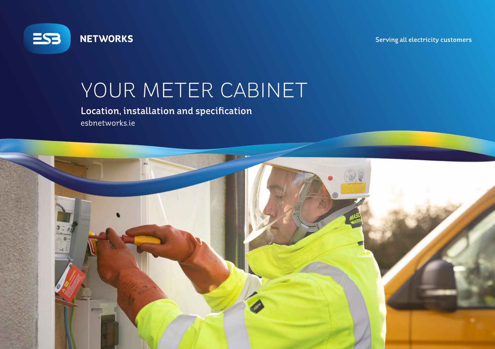Serving all electricity customers



# YOUR METER CABINET

Location, installation and specification esbnetworks.ie

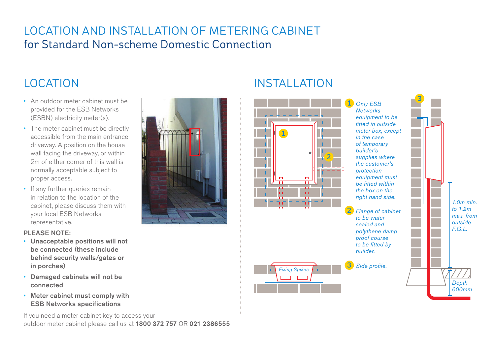### LOCATION AND INSTALLATION OF METERING CABINET for Standard Non-scheme Domestic Connection

- An outdoor meter cabinet must be provided for the ESB Networks (ESBN) electricity meter(s).
- The meter cabinet must be directly accessible from the main entrance driveway. A position on the house wall facing the driveway, or within 2m of either corner of this wall is normally acceptable subject to proper access.
- If any further queries remain in relation to the location of the cabinet, please discuss them with your local ESB Networks representative.

#### PLEASE NOTE:

- Unacceptable positions will not be connected (these include behind security walls/gates or in porches)
- Damaged cabinets will not be connected
- Meter cabinet must comply with ESB Networks specifications

If you need a meter cabinet key to access your outdoor meter cabinet please call us at 1800 372 757 OR 021 2386555

## LOCATION INSTALLATION



*1.0m min. to 1.2m max. from outside F.G.L.*

*Depth 600mm*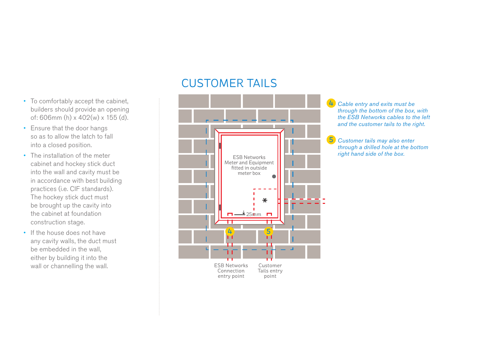- To comfortably accept the cabinet, builders should provide an opening of: 606mm (h) x 402(w) x 155 (d).
- Ensure that the door hangs so as to allow the latch to fall into a closed position.
- The installation of the meter cabinet and hockey stick duct into the wall and cavity must be in accordance with best building practices (i.e. CIF standards). The hockey stick duct must be brought up the cavity into the cabinet at foundation construction stage.
- If the house does not have any cavity walls, the duct must be embedded in the wall, either by building it into the wall or channelling the wall. The set of the wall or channelling the wall.

#### CUSTOMER TAILS



4 *Cable entry and exits must be through the bottom of the box, with the ESB Networks cables to the left and the customer tails to the right.*

5 *Customer tails may also enter through a drilled hole at the bottom right hand side of the box.*